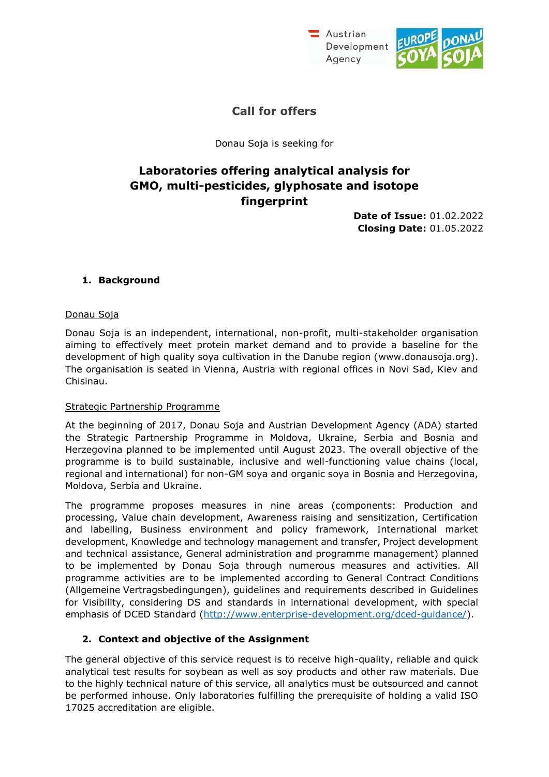



## **Call for offers**

Donau Soja is seeking for

# **Laboratories offering analytical analysis for GMO, multi-pesticides, glyphosate and isotope fingerprint**

**Date of Issue:** 01.02.2022 **Closing Date:** 01.05.2022

#### **1. Background**

#### Donau Soja

Donau Soja is an independent, international, non-profit, multi-stakeholder organisation aiming to effectively meet protein market demand and to provide a baseline for the development of high quality soya cultivation in the Danube region (www.donausoja.org). The organisation is seated in Vienna, Austria with regional offices in Novi Sad, Kiev and Chisinau.

#### Strategic Partnership Programme

At the beginning of 2017, Donau Soja and Austrian Development Agency (ADA) started the Strategic Partnership Programme in Moldova, Ukraine, Serbia and Bosnia and Herzegovina planned to be implemented until August 2023. The overall objective of the programme is to build sustainable, inclusive and well-functioning value chains (local, regional and international) for non-GM soya and organic soya in Bosnia and Herzegovina, Moldova, Serbia and Ukraine.

The programme proposes measures in nine areas (components: Production and processing, Value chain development, Awareness raising and sensitization, Certification and labelling, Business environment and policy framework, International market development, Knowledge and technology management and transfer, Project development and technical assistance, General administration and programme management) planned to be implemented by Donau Soja through numerous measures and activities. All programme activities are to be implemented according to General Contract Conditions (Allgemeine Vertragsbedingungen), guidelines and requirements described in Guidelines for Visibility, considering DS and standards in international development, with special emphasis of DCED Standard [\(http://www.enterprise-development.org/dced-guidance/\).](http://www.enterprise-development.org/dced-guidance/))

#### **2. Context and objective of the Assignment**

The general objective of this service request is to receive high-quality, reliable and quick analytical test results for soybean as well as soy products and other raw materials. Due to the highly technical nature of this service, all analytics must be outsourced and cannot be performed inhouse. Only laboratories fulfilling the prerequisite of holding a valid ISO 17025 accreditation are eligible.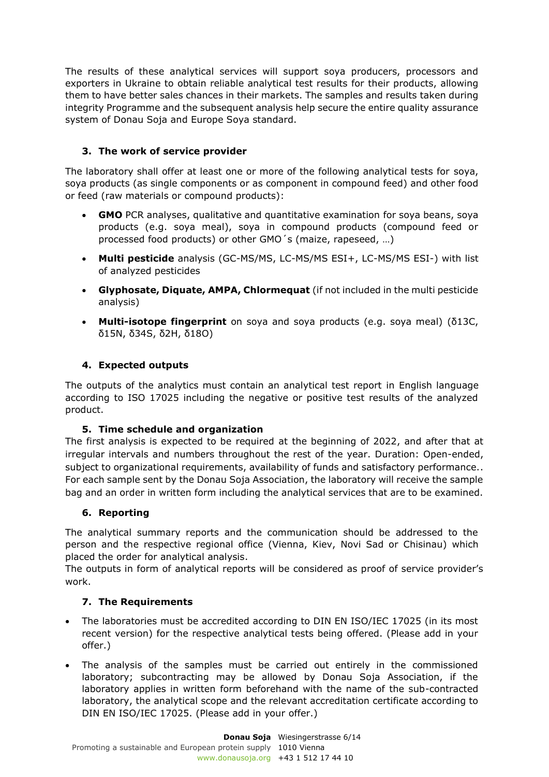The results of these analytical services will support soya producers, processors and exporters in Ukraine to obtain reliable analytical test results for their products, allowing them to have better sales chances in their markets. The samples and results taken during integrity Programme and the subsequent analysis help secure the entire quality assurance system of Donau Soja and Europe Soya standard.

### **3. The work of service provider**

The laboratory shall offer at least one or more of the following analytical tests for soya, soya products (as single components or as component in compound feed) and other food or feed (raw materials or compound products):

- **GMO** PCR analyses, qualitative and quantitative examination for soya beans, soya products (e.g. soya meal), soya in compound products (compound feed or processed food products) or other GMO´s (maize, rapeseed, …)
- **Multi pesticide** analysis (GC-MS/MS, LC-MS/MS ESI+, LC-MS/MS ESI-) with list of analyzed pesticides
- **Glyphosate, Diquate, AMPA, Chlormequat** (if not included in the multi pesticide analysis)
- **Multi-isotope fingerprint** on soya and soya products (e.g. soya meal) (δ13C, δ15N, δ34S, δ2H, δ18O)

#### **4. Expected outputs**

The outputs of the analytics must contain an analytical test report in English language according to ISO 17025 including the negative or positive test results of the analyzed product.

#### **5. Time schedule and organization**

The first analysis is expected to be required at the beginning of 2022, and after that at irregular intervals and numbers throughout the rest of the year. Duration: Open-ended, subject to organizational requirements, availability of funds and satisfactory performance.. For each sample sent by the Donau Soja Association, the laboratory will receive the sample bag and an order in written form including the analytical services that are to be examined.

#### **6. Reporting**

The analytical summary reports and the communication should be addressed to the person and the respective regional office (Vienna, Kiev, Novi Sad or Chisinau) which placed the order for analytical analysis.

The outputs in form of analytical reports will be considered as proof of service provider's work.

#### **7. The Requirements**

- The laboratories must be accredited according to DIN EN ISO/IEC 17025 (in its most recent version) for the respective analytical tests being offered. (Please add in your offer.)
- The analysis of the samples must be carried out entirely in the commissioned laboratory; subcontracting may be allowed by Donau Soja Association, if the laboratory applies in written form beforehand with the name of the sub-contracted laboratory, the analytical scope and the relevant accreditation certificate according to DIN EN ISO/IEC 17025. (Please add in your offer.)